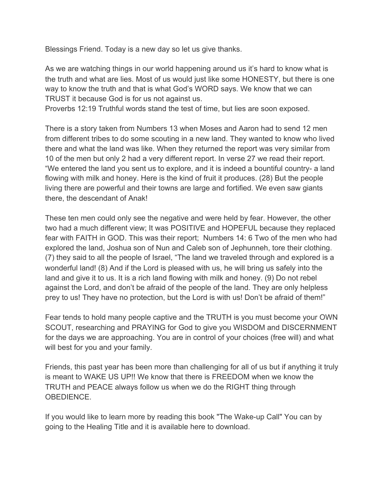Blessings Friend. Today is a new day so let us give thanks.

As we are watching things in our world happening around us it's hard to know what is the truth and what are lies. Most of us would just like some HONESTY, but there is one way to know the truth and that is what God's WORD says. We know that we can TRUST it because God is for us not against us.

Proverbs 12:19 Truthful words stand the test of time, but lies are soon exposed.

There is a story taken from Numbers 13 when Moses and Aaron had to send 12 men from different tribes to do some scouting in a new land. They wanted to know who lived there and what the land was like. When they returned the report was very similar from 10 of the men but only 2 had a very different report. In verse 27 we read their report. "We entered the land you sent us to explore, and it is indeed a bountiful country- a land flowing with milk and honey. Here is the kind of fruit it produces. (28) But the people living there are powerful and their towns are large and fortified. We even saw giants there, the descendant of Anak!

These ten men could only see the negative and were held by fear. However, the other two had a much different view; It was POSITIVE and HOPEFUL because they replaced fear with FAITH in GOD. This was their report; Numbers 14: 6 Two of the men who had explored the land, Joshua son of Nun and Caleb son of Jephunneh, tore their clothing. (7) they said to all the people of Israel, "The land we traveled through and explored is a wonderful land! (8) And if the Lord is pleased with us, he will bring us safely into the land and give it to us. It is a rich land flowing with milk and honey. (9) Do not rebel against the Lord, and don't be afraid of the people of the land. They are only helpless prey to us! They have no protection, but the Lord is with us! Don't be afraid of them!"

Fear tends to hold many people captive and the TRUTH is you must become your OWN SCOUT, researching and PRAYING for God to give you WISDOM and DISCERNMENT for the days we are approaching. You are in control of your choices (free will) and what will best for you and your family.

Friends, this past year has been more than challenging for all of us but if anything it truly is meant to WAKE US UP!! We know that there is FREEDOM when we know the TRUTH and PEACE always follow us when we do the RIGHT thing through OBEDIENCE.

If you would like to learn more by reading this book "The Wake-up Call" You can by going to the Healing Title and it is available here to download.